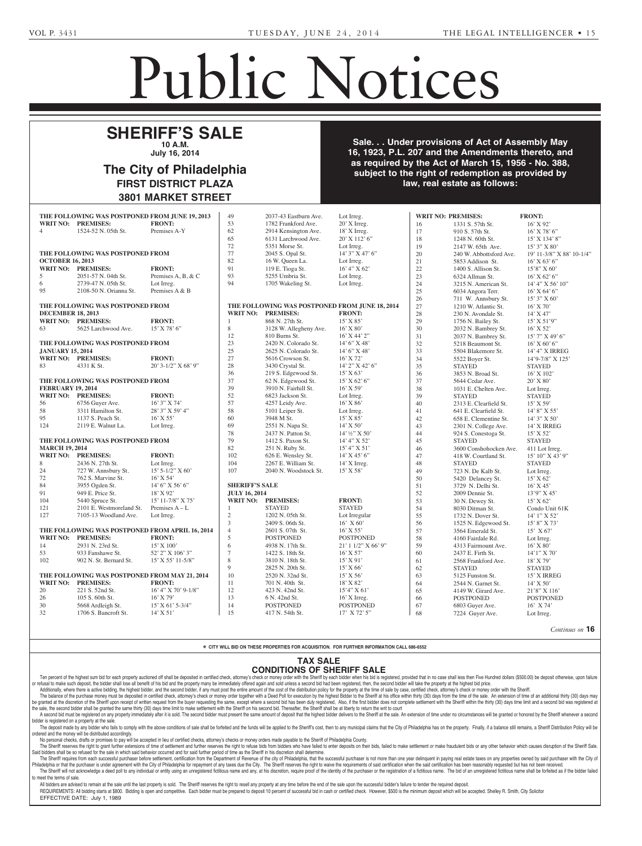**FERRARI, CORD TRAVIS** -- Jessica Lynn Ferrari, Executrix, 111 D Weatherstone Drive, Chapel Hill, NC 27514; Amy H. Bes-Alexander and Amy H. Bes-Alexander and Amy H. Bes-Alexander and Amy H. Bes-Alexander ser, Attorney, Klenk Law, 1701 Walnut St., Philadelphia, Philadelphia, Philadelphia, Philadelphia, Philadelphia, Philadelphia, Philadelphia,

## Public Notices

Slutsky Associates, 600 W. Germantown Pike, #400, Plymouth

### **SHERIFF'S SALE 10 A.M. July 16, 2014**  $E \subseteq C$ **Section 316 The City of Philadelphia** c/o Maureen L. Anderson, Espaina **known as ANNA SHERRIGHT 16, 1923, P.L. 207 and the Amer** Robert M. Slutsky, Esquire, 600

The City of Philadelphia FIRST DISTRICT PLAZA 3801 MARKET STREET Estates and Fiduciaries Code which requires advertisement y vi riilau<del>c</del>ipilla. **DISTRICT PLAZA** 6-9-3

Sale. . . Under provisions of Act of Assembly May **16, 1923, P.L. 207 and the Amendments thereto, and A. A. Dean A. Dean, Executive A. Dean, Executive Concrete A. Dean A. Dean, E. A. Dean, E. A. Dean, E. A. Dean, E subject to the right of redemption as provided by law, real estate as follows: Terminal State Books** mouth Meeting, PA 19462; Robert M. Slutsky, Attorney, Robert  $\sigma$ ,  $\sigma$ . E. 207 and the American Business dieters, and e cuentro  $\mathbf{p}$  as provided by  $\mathbf{p}$ n as provided by<br>.

> Suite 300 6-23-1\*

|                                                           | THE FOLLOWING WAS POSTPONED FROM JUNE 19, 2013 |                       | 49                                             | 2037-43 Eastburn Ave.  | Lot Irreg.          |        | <b>WRIT NO: PREMISES:</b> | <b>FRONT:</b>             |
|-----------------------------------------------------------|------------------------------------------------|-----------------------|------------------------------------------------|------------------------|---------------------|--------|---------------------------|---------------------------|
| WRIT NO: PREMISES:                                        |                                                | <b>FRONT:</b>         | 53                                             | 1782 Frankford Ave.    | $20'$ X Irreg.      | 16     | 1331 S. 57th St.          | $16'$ X 92'               |
| 4                                                         | 1524-52 N. 05th St.                            | Premises A-Y          | 62                                             | 2914 Kensington Ave.   | 18' X Irreg.        | 17     | 910 S. 57th St.           | $16'$ X 78' 6"            |
|                                                           |                                                |                       | 65                                             | 6131 Larchwood Ave.    | 20' X 112' 6"       | 18     | 1248 N. 60th St.          | 15' X 134' 8"             |
|                                                           |                                                |                       | 72                                             | 5351 Morse St.         | Lot Irreg.          | 19     | 2147 W. 65th Ave.         | 15' 3" X 80'              |
| THE FOLLOWING WAS POSTPONED FROM                          |                                                |                       | 77                                             | 2045 S. Opal St.       | 14' 3" X 47' 6"     | 20     | 240 W. Abbottsford Ave.   | 19' 11-3/8" X 88' 10-1/4" |
| <b>OCTOBER 16, 2013</b>                                   |                                                |                       | 82                                             | 16 W. Queen La.        | Lot Irreg.          | 21     | 5853 Addison St.          | $16'$ X 63' 6"            |
| WRIT NO: PREMISES:                                        |                                                | <b>FRONT:</b>         | 91                                             | 119 E. Tioga St.       | 16' 4'' X 62'       | $22\,$ | 1400 S. Allison St.       | $15'8''$ X 60'            |
| 5                                                         | 2051-57 N. 04th St.                            | Premises A, B, & C    | 93                                             | 5255 Umbria St.        | Lot Irreg.          | 23     | 6324 Allman St.           | $16'$ X 62' 6"            |
| 6                                                         | 2739-47 N. 05th St.                            | Lot Irreg.            | 94                                             | 1705 Wakeling St.      | Lot Irreg.          | 24     | 3215 N. American St.      | 14' 4'' X 56' 10''        |
| 95                                                        | 2108-50 N. Orianna St.                         | Premises A & B        |                                                |                        |                     | 25     | 6034 Angora Terr.         | $16'$ X 64' 6"            |
|                                                           |                                                |                       |                                                |                        |                     | 26     | 711 W. Annsbury St.       | $15'3''$ X 60'            |
| THE FOLLOWING WAS POSTPONED FROM                          |                                                |                       | THE FOLLOWING WAS POSTPONED FROM JUNE 18, 2014 |                        |                     | $27\,$ | 1210 W. Atlantic St.      | $16'$ X 70'               |
| <b>DECEMBER 18, 2013</b>                                  |                                                |                       |                                                | WRIT NO: PREMISES:     | <b>FRONT:</b>       | $28\,$ | 230 N. Avondale St.       | 14' X 47'                 |
| WRIT NO: PREMISES:                                        |                                                | <b>FRONT:</b>         | -1                                             | 868 N. 27th St.        | $15'$ X 85'         |        |                           |                           |
|                                                           |                                                |                       |                                                |                        |                     | 29     | 1756 N. Bailey St.        | $15'$ X 51'9"             |
| 63                                                        | 5625 Larchwood Ave.                            | $15'$ X 78' 6"        | 8                                              | 3128 W. Allegheny Ave. | $16'$ X $80'$       | 30     | 2032 N. Bambrey St.       | $16'$ X 52'               |
|                                                           |                                                |                       | 12                                             | 810 Burns St.          | $16'$ X 44' 2"      | 31     | 2037 N. Bambrey St.       | $15'$ 7" X 49' 6"         |
|                                                           | THE FOLLOWING WAS POSTPONED FROM               |                       | 23                                             | 2420 N. Colorado St.   | $14'6''$ X 48'      | 32     | 5218 Beaumont St.         | $16'$ X 60' 6"            |
| <b>JANUARY 15, 2014</b>                                   |                                                |                       | 25                                             | 2625 N. Colorado St.   | $14'6''$ X 48'      | 33     | 5504 Blakemore St.        | 14' 4" X IRREG            |
| WRIT NO: PREMISES:                                        |                                                | <b>FRONT:</b>         | 27                                             | 5616 Crowson St.       | 16' X 72'           | 34     | 5522 Boyer St.            | 14'9-7/8" X 125'          |
| 83                                                        | 4331 K St.                                     | 20' 3-1/2" X 68' 9"   | 28                                             | 3430 Crystal St.       | 14' 2" X 42' 6"     | 35     | <b>STAYED</b>             | <b>STAYED</b>             |
|                                                           |                                                |                       | 36                                             | 219 S. Edgewood St.    | 15' X 63'           | 36     | 3853 N. Broad St.         | $16'$ X $102'$            |
| THE FOLLOWING WAS POSTPONED FROM                          |                                                |                       | 37                                             | 62 N. Edgewood St.     | $15'$ X 62' 6"      | 37     | 5644 Cedar Ave.           | $20'$ X $80'$             |
| <b>FEBRUARY 19, 2014</b>                                  |                                                |                       | 39                                             | 3910 N. Fairhill St.   | $16'$ X 59'         | 38     | 1031 E. Chelten Ave.      | Lot Irreg.                |
| WRIT NO: PREMISES:                                        |                                                | <b>FRONT:</b>         | 52                                             | 6823 Jackson St.       | Lot Irreg.          | 39     | <b>STAYED</b>             | <b>STAYED</b>             |
| 56                                                        | 6756 Guyer Ave.                                | 16' 3" X 74'          | 57                                             | 4257 Leidy Ave.        | 16' X 86'           | 40     | 2313 E. Clearfield St.    | $15'$ X 59'               |
| 58                                                        | 3311 Hamilton St.                              | 28' 3" X 59' 4"       | 58                                             | 5101 Leiper St.        | Lot Irreg.          | 41     | 641 E. Clearfield St.     | 14' 8" X 55'              |
| 95                                                        | 1137 S. Peach St.                              | $16'$ X 55'           | 60                                             | 3948 M St.             | $15'$ X 85'         | 42     | 658 E. Clementine St.     | $14'$ 3" X 50'            |
| 124                                                       | 2119 E. Walnut La.                             | Lot Irreg.            | 69                                             | 2551 N. Napa St.       | $14'$ X 50'         | 43     | 2301 N. College Ave.      | 14' X IRREG               |
|                                                           |                                                |                       | 78                                             | 2437 N. Patton St.     | 14' ½" X 50'        | 44     | 924 S. Conestoga St.      | 15' X 52'                 |
|                                                           |                                                |                       | 79                                             | 1412 S. Paxon St.      | 14' 4" X 52'        | 45     | <b>STAYED</b>             | <b>STAYED</b>             |
| THE FOLLOWING WAS POSTPONED FROM<br><b>MARCH 19, 2014</b> |                                                |                       | 82                                             | 251 N. Ruby St.        | 15' 4'' X 51'       |        |                           |                           |
|                                                           |                                                |                       |                                                |                        |                     | 46     | 3600 Conshohocken Ave.    | 411 Lot Irreg.            |
| WRIT NO: PREMISES:                                        |                                                | <b>FRONT:</b>         | 102                                            | 626 E. Wensley St.     | $14'$ X 45' 6"      | 47     | 418 W. Courtland St.      | 15' 10" X 43' 9"          |
| 8                                                         | 2436 N. 27th St.                               | Lot Irreg.            | 104                                            | 2267 E. William St.    | 14' X Irreg.        | 48     | <b>STAYED</b>             | <b>STAYED</b>             |
| 24                                                        | 727 W. Annsbury St.                            | $15'$ 5-1/2" X 60'    | 107                                            | 2040 N. Woodstock St.  | $15'$ X 58'         | 49     | 723 N. De Kalb St.        | Lot Irreg.                |
| 72                                                        | 762 S. Marvine St.                             | $16'$ X 54'           |                                                |                        |                     | 50     | 5420 Delancey St.         | $15'$ X 62'               |
| 84                                                        | 3955 Ogden St.                                 | 14' 6" X 56' 6"       | <b>SHERIFF'S SALE</b>                          |                        |                     | 51     | 3729 N. Delhi St.         | $16'$ X 45'               |
| 91                                                        | 949 E. Price St.                               | $18'$ X 92'           | <b>JULY 16, 2014</b>                           |                        |                     | 52     | 2009 Dennie St.           | 13'9" X 45'               |
| 104                                                       | 5440 Spruce St.                                | $15'$ 11-7/8" X 75'   |                                                | WRIT NO: PREMISES:     | <b>FRONT:</b>       | 53     | 30 N. Dewey St.           | 15' X 62'                 |
| 121                                                       | 2101 E. Westmoreland St.                       | Premises $A - L$      | -1                                             | <b>STAYED</b>          | <b>STAYED</b>       | 54     | 8030 Ditman St.           | Condo Unit 61K            |
| 127                                                       | 7105-13 Woodland Ave.                          | Lot Irreg.            | $\sqrt{2}$                                     | 1202 N. 05th St.       | Lot Irregular       | 55     | 1732 N. Dover St.         | 14' 1" X 52'              |
|                                                           |                                                |                       | 3                                              | 2409 S. 06th St.       | $16'$ X 60'         | 56     | 1525 N. Edgewood St.      | $15'8''$ X 73'            |
| THE FOLLOWING WAS POSTPONED FROM APRIL 16, 2014           |                                                |                       | $\overline{4}$                                 | 2601 S. 07th St.       | $16'$ X 55'         | 57     | 3564 Emerald St.          | 15' X 67'                 |
| <b>WRIT NO: PREMISES:</b>                                 |                                                | <b>FRONT:</b>         | 5                                              | <b>POSTPONED</b>       | <b>POSTPONED</b>    | 58     | 4160 Fairdale Rd.         | Lot Irreg.                |
| 14                                                        | 2931 N. 23rd St.                               | $15'$ X $100'$        | 6                                              | 4938 N. 17th St.       | 21' 1 1/2" X 66' 9" | 59     | 4313 Fairmount Ave.       | $16'$ X 80'               |
| 53                                                        | 933 Fanshawe St.                               | 52' 2" X 106' 3"      | $\overline{7}$                                 | 1422 S. 18th St.       | $16'$ X 57'         | $60\,$ | 2437 E. Firth St.         | 14'1" X 70'               |
| 102                                                       | 902 N. St. Bernard St.                         | 15' X 55' 11-5/8"     | $\,$ 8 $\,$                                    | 3810 N. 18th St.       | $15'$ X 91'         | 61     | 2568 Frankford Ave.       | $18'$ X 79'               |
|                                                           |                                                |                       | 9                                              | 2825 N. 20th St.       | 15' X 66'           |        |                           |                           |
| THE FOLLOWING WAS POSTPONED FROM MAY 21, 2014             |                                                |                       |                                                |                        | 15' X 56'           | 62     | <b>STAYED</b>             | <b>STAYED</b>             |
|                                                           |                                                |                       | 10                                             | 2520 N. 32nd St.       |                     | 63     | 5125 Funston St.          | 15' X IRREG               |
| WRIT NO: PREMISES:                                        |                                                | <b>FRONT:</b>         | 11                                             | 701 N. 40th St.        | 18' X 82'           | 64     | 2544 N. Garnet St.        | $14'$ X 50'               |
| 20                                                        | 221 S. 52nd St.                                | $16'$ 4" X 70' 9-1/8" | 12                                             | 423 N. 42nd St.        | $15'4''$ X 61'      | 65     | 4149 W. Girard Ave.       | 21'8" X 116'              |
| 26                                                        | 105 S. 60th St.                                | 16' X 79'             | 13                                             | 6 N. 42nd St.          | $16'$ X Irreg.      | 66     | <b>POSTPONED</b>          | <b>POSTPONED</b>          |
| 30                                                        | 5668 Ardleigh St.                              | $15'$ X 61' 5-3/4"    | 14                                             | <b>POSTPONED</b>       | <b>POSTPONED</b>    | 67     | 6803 Guyer Ave.           | 16' X 74'                 |
| 32                                                        | 1706 S. Bancroft St.                           | $14'$ X 51'           | 15                                             | 417 N. 54th St.        | 17' X 72' 5"        | 68     | 7224 Guyer Ave.           | Lot Irreg.                |

*Continues on* **16**

e CITY WILL BID ON THESE PROPERTIES FOR ACQUISITION. FOR FURTHER INFORMATION CALL 686-6552<br>B. Smith, 6307 Lawnton Avee CITY WILL BID ON TH 18901. FURTHER II

## **TAX SALE CONDITIONS OF SHERIFF SALE**

Ten percent of the highest sum bid for each property auctioned off shall be deposited in certified check, attorney's check or money order with the Sheriff by each bidder when his bid is registered, provided that in no case or refusal to make such deposit, the bidder shall lose all benefit of his bid and the property many be immediately offered again and sold unless a second bid had been registered, then, the second bidder will take the prope Additionally, where there is active bidding, the highest bidder, and the second bidder, if any must post the entire amount of the cost of the distribution policy for the property at the time of sale by case, certified chec **CONDITIONS OF SHERIFF SALE**<br>The property auctioned off shall be deposited in certified check, attorney's check or money order with the Sheriff by each bidder when his bid is registered, provided that in no case shall less

The balance of the purchase money must be deposited in certified check, attorney's check or money order together with a Deed Poll for execution by the highest Bidder to the Sheriff at his office within thirty (30) days fro be granted at the discretion of the Sheriff upon receipt of written request from the buyer requesting the same, except where a second bid has been duly registered, Also, if the first bidder does not complete settlement wit the sale, the second bidder shall be granted the same thirty (30) days time limit to make settlement with the Sheriff on his second bid. Thereafter, the Sheriff shall be at liberty to return the writ to court

A second bid must be registered on any property immediately after it is sold. The second bidder must present the same amount of deposit that the highest bidder delivers to the Sheriff at the sale. An extension of time unde bidder is registered on a property at the sale. 6-23-3\* the laws of the jurisdiction of DE

| bidder is registered on a property at the sale.<br>| The deposit made by any bidder who fails to comply with the above conditions of sale shall be forfeited and the funds will be applied to the Sheriff's cost, then to any I The deposit made by any bidder who rails to comprehensive computed accordingly. oroerea ana the money will be alstributed accordingly.<br>No personal checks, drafts or promises to pay will be accepted in lieu of certified checks, attorney's checks or money orders made payable to the Sheriff of Philadelph the above that the City of Philadelphia has on the property. Finally

No personal checks, dratts or promises to pay will be accepted in lieu or certimed checks, attorney's checks or money orders made payable to the Sheriff or Prilladelphia County.<br>The Sheriff reserves the right to grant furt and bidders shall be so refused for the sale in which said behavior occurred and for said further period of time as the Sheriff in his discretion shall determine.<br>Said bidders shall be so refused for the sale in which said s, failed to make settlement or make fraudulent blus or an

Data wholes a state be a state of the same in which same the state of the state of the state of the state of the state of the state of the state of the state of the city of Philadelphia for repayment of Revenue of the city accounting to the member of the burden and the state of the state of the state of the control of the purchase of the purchase of the registration of a fictitious name. The bid of an unregistered fictitious name shall be fo to meet the terms of sale. are scalenting, commented from the Expansion of Nevel<br>e City of Philadelphia for repayment of any taxes due the Patie of the years at an eye complete state that and a If it it is discretion shall determine.<br>If the city of Philadelphia, that the successful purchaser is The Sheriff reserves the right to waive the requirements 17921; Richard Feudale, Attor-Feudale, Attor-Feudale, Attor-Feudale, Attor-Feudale, Attor-Feudale, Attor-Feuda<br>1792 nore than one vear delinguent in naving real estate taxe note than one year delinquent in paying real estate taxe.<br>In certification when the said certification has been reason plication for Termination of Au-

All bidders are advised to remain at the sale until the last property is sold. The Sheriff reserves the right to resell any property at any time before the end of the sale upon the successful bidder's failure to tender the REQUIREMENTS: All bidding starts at \$800. Bidding is open and competitive. Each bidder must be prepared to deposit 10 percent of successful bid in cash or certified check. However, \$500 is the minimum deposit which will be EFFECTIVE DATE: July 1, 1989 6-23-3\* it 10 percent of successful ever, \$500 6-23-1\*

ecutors; Robert L. Feliciani, III,